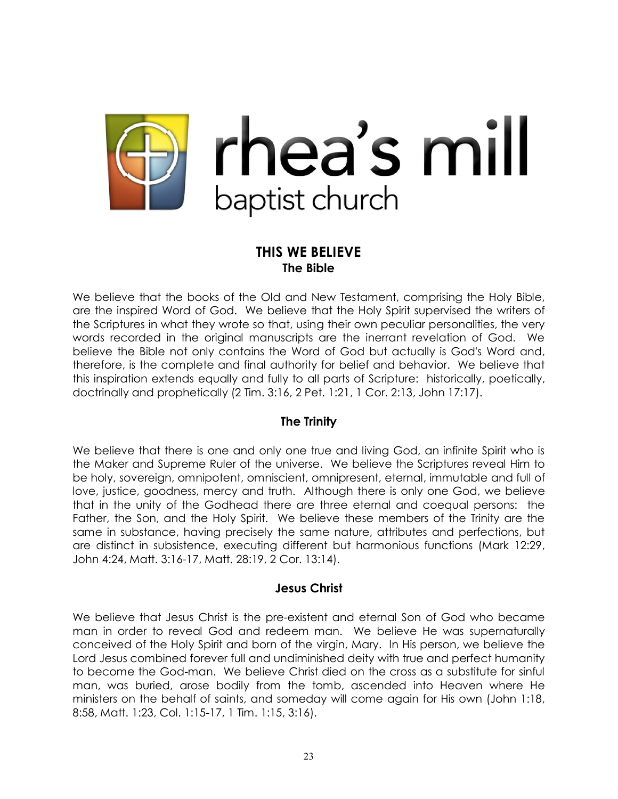

# **THIS WE BELIEVE The Bible**

We believe that the books of the Old and New Testament, comprising the Holy Bible, are the inspired Word of God. We believe that the Holy Spirit supervised the writers of the Scriptures in what they wrote so that, using their own peculiar personalities, the very words recorded in the original manuscripts are the inerrant revelation of God. We believe the Bible not only contains the Word of God but actually is God's Word and, therefore, is the complete and final authority for belief and behavior. We believe that this inspiration extends equally and fully to all parts of Scripture: historically, poetically, doctrinally and prophetically (2 Tim. 3:16, 2 Pet. 1:21, 1 Cor. 2:13, John 17:17).

# **The Trinity**

We believe that there is one and only one true and living God, an infinite Spirit who is the Maker and Supreme Ruler of the universe. We believe the Scriptures reveal Him to be holy, sovereign, omnipotent, omniscient, omnipresent, eternal, immutable and full of love, justice, goodness, mercy and truth. Although there is only one God, we believe that in the unity of the Godhead there are three eternal and coequal persons: the Father, the Son, and the Holy Spirit. We believe these members of the Trinity are the same in substance, having precisely the same nature, attributes and perfections, but are distinct in subsistence, executing different but harmonious functions (Mark 12:29, John 4:24, Matt. 3:16-17, Matt. 28:19, 2 Cor. 13:14).

## **Jesus Christ**

We believe that Jesus Christ is the pre-existent and eternal Son of God who became man in order to reveal God and redeem man. We believe He was supernaturally conceived of the Holy Spirit and born of the virgin, Mary. In His person, we believe the Lord Jesus combined forever full and undiminished deity with true and perfect humanity to become the God-man. We believe Christ died on the cross as a substitute for sinful man, was buried, arose bodily from the tomb, ascended into Heaven where He ministers on the behalf of saints, and someday will come again for His own (John 1:18, 8:58, Matt. 1:23, Col. 1:15-17, 1 Tim. 1:15, 3:16).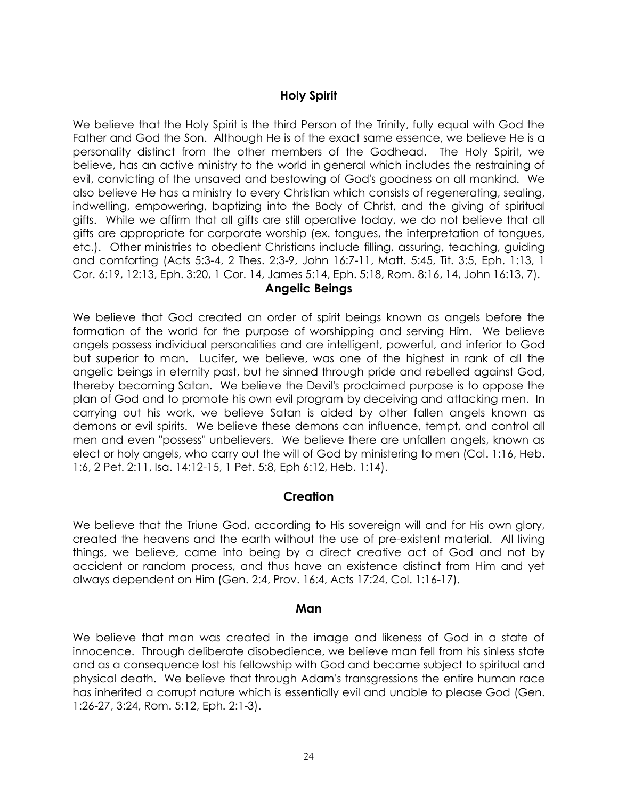# **Holy Spirit**

We believe that the Holy Spirit is the third Person of the Trinity, fully equal with God the Father and God the Son. Although He is of the exact same essence, we believe He is a personality distinct from the other members of the Godhead. The Holy Spirit, we believe, has an active ministry to the world in general which includes the restraining of evil, convicting of the unsaved and bestowing of God's goodness on all mankind. We also believe He has a ministry to every Christian which consists of regenerating, sealing, indwelling, empowering, baptizing into the Body of Christ, and the giving of spiritual gifts. While we affirm that all gifts are still operative today, we do not believe that all gifts are appropriate for corporate worship (ex. tongues, the interpretation of tongues, etc.). Other ministries to obedient Christians include filling, assuring, teaching, guiding and comforting (Acts 5:3-4, 2 Thes. 2:3-9, John 16:7-11, Matt. 5:45, Tit. 3:5, Eph. 1:13, 1 Cor. 6:19, 12:13, Eph. 3:20, 1 Cor. 14, James 5:14, Eph. 5:18, Rom. 8:16, 14, John 16:13, 7).

#### **Angelic Beings**

We believe that God created an order of spirit beings known as angels before the formation of the world for the purpose of worshipping and serving Him. We believe angels possess individual personalities and are intelligent, powerful, and inferior to God but superior to man. Lucifer, we believe, was one of the highest in rank of all the angelic beings in eternity past, but he sinned through pride and rebelled against God, thereby becoming Satan. We believe the Devil's proclaimed purpose is to oppose the plan of God and to promote his own evil program by deceiving and attacking men. In carrying out his work, we believe Satan is aided by other fallen angels known as demons or evil spirits. We believe these demons can influence, tempt, and control all men and even "possess" unbelievers. We believe there are unfallen angels, known as elect or holy angels, who carry out the will of God by ministering to men (Col. 1:16, Heb. 1:6, 2 Pet. 2:11, Isa. 14:12-15, 1 Pet. 5:8, Eph 6:12, Heb. 1:14).

## **Creation**

We believe that the Triune God, according to His sovereign will and for His own glory, created the heavens and the earth without the use of pre-existent material. All living things, we believe, came into being by a direct creative act of God and not by accident or random process, and thus have an existence distinct from Him and yet always dependent on Him (Gen. 2:4, Prov. 16:4, Acts 17:24, Col. 1:16-17).

#### **Man**

We believe that man was created in the image and likeness of God in a state of innocence. Through deliberate disobedience, we believe man fell from his sinless state and as a consequence lost his fellowship with God and became subject to spiritual and physical death. We believe that through Adam's transgressions the entire human race has inherited a corrupt nature which is essentially evil and unable to please God (Gen. 1:26-27, 3:24, Rom. 5:12, Eph. 2:1-3).